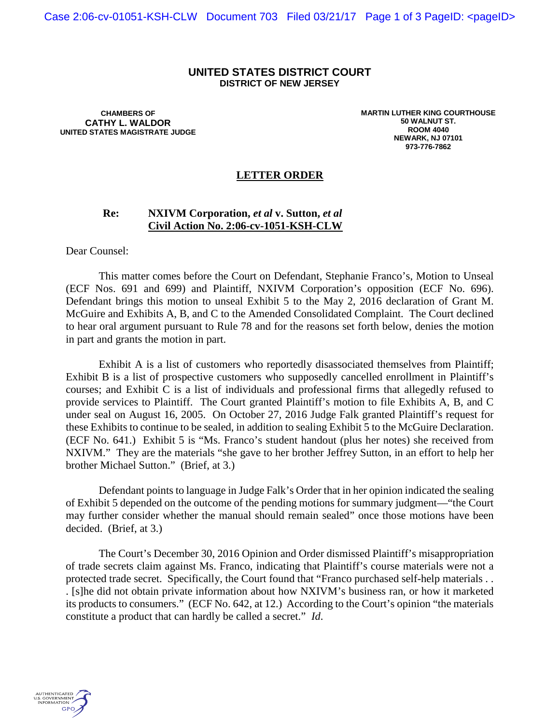## **UNITED STATES DISTRICT COURT DISTRICT OF NEW JERSEY**

**CHAMBERS OF CATHY L. WALDOR UNITED STATES MAGISTRATE JUDGE** **MARTIN LUTHER KING COURTHOUSE 50 WALNUT ST. ROOM 4040 NEWARK, NJ 07101 973-776-7862**

## **LETTER ORDER**

## **Re: NXIVM Corporation,** *et al* **v. Sutton,** *et al* **Civil Action No. 2:06-cv-1051-KSH-CLW**

Dear Counsel:

This matter comes before the Court on Defendant, Stephanie Franco's, Motion to Unseal (ECF Nos. 691 and 699) and Plaintiff, NXIVM Corporation's opposition (ECF No. 696). Defendant brings this motion to unseal Exhibit 5 to the May 2, 2016 declaration of Grant M. McGuire and Exhibits A, B, and C to the Amended Consolidated Complaint. The Court declined to hear oral argument pursuant to Rule 78 and for the reasons set forth below, denies the motion in part and grants the motion in part.

Exhibit A is a list of customers who reportedly disassociated themselves from Plaintiff; Exhibit B is a list of prospective customers who supposedly cancelled enrollment in Plaintiff's courses; and Exhibit C is a list of individuals and professional firms that allegedly refused to provide services to Plaintiff. The Court granted Plaintiff's motion to file Exhibits A, B, and C under seal on August 16, 2005. On October 27, 2016 Judge Falk granted Plaintiff's request for these Exhibits to continue to be sealed, in addition to sealing Exhibit 5 to the McGuire Declaration. (ECF No. 641.) Exhibit 5 is "Ms. Franco's student handout (plus her notes) she received from NXIVM." They are the materials "she gave to her brother Jeffrey Sutton, in an effort to help her brother Michael Sutton." (Brief, at 3.)

Defendant points to language in Judge Falk's Order that in her opinion indicated the sealing of Exhibit 5 depended on the outcome of the pending motions for summary judgment—"the Court may further consider whether the manual should remain sealed" once those motions have been decided. (Brief, at 3.)

The Court's December 30, 2016 Opinion and Order dismissed Plaintiff's misappropriation of trade secrets claim against Ms. Franco, indicating that Plaintiff's course materials were not a protected trade secret. Specifically, the Court found that "Franco purchased self-help materials . . . [s]he did not obtain private information about how NXIVM's business ran, or how it marketed its products to consumers." (ECF No. 642, at 12.) According to the Court's opinion "the materials constitute a product that can hardly be called a secret." *Id*.

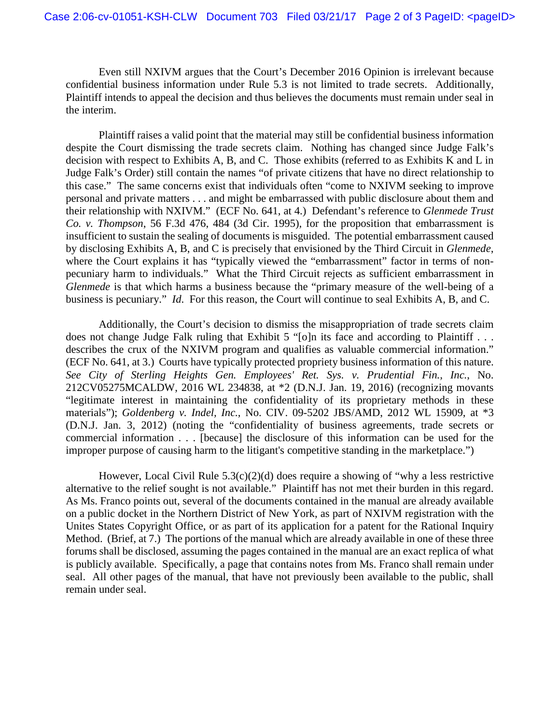Even still NXIVM argues that the Court's December 2016 Opinion is irrelevant because confidential business information under Rule 5.3 is not limited to trade secrets. Additionally, Plaintiff intends to appeal the decision and thus believes the documents must remain under seal in the interim.

Plaintiff raises a valid point that the material may still be confidential business information despite the Court dismissing the trade secrets claim. Nothing has changed since Judge Falk's decision with respect to Exhibits A, B, and C. Those exhibits (referred to as Exhibits K and L in Judge Falk's Order) still contain the names "of private citizens that have no direct relationship to this case." The same concerns exist that individuals often "come to NXIVM seeking to improve personal and private matters . . . and might be embarrassed with public disclosure about them and their relationship with NXIVM." (ECF No. 641, at 4.) Defendant's reference to *Glenmede Trust Co. v. Thompson*, 56 F.3d 476, 484 (3d Cir. 1995), for the proposition that embarrassment is insufficient to sustain the sealing of documents is misguided. The potential embarrassment caused by disclosing Exhibits A, B, and C is precisely that envisioned by the Third Circuit in *Glenmede*, where the Court explains it has "typically viewed the "embarrassment" factor in terms of nonpecuniary harm to individuals." What the Third Circuit rejects as sufficient embarrassment in *Glenmede* is that which harms a business because the "primary measure of the well-being of a business is pecuniary." *Id*. For this reason, the Court will continue to seal Exhibits A, B, and C.

Additionally, the Court's decision to dismiss the misappropriation of trade secrets claim does not change Judge Falk ruling that Exhibit 5 "[o]n its face and according to Plaintiff . . . describes the crux of the NXIVM program and qualifies as valuable commercial information." (ECF No. 641, at 3.) Courts have typically protected propriety business information of this nature. *See City of Sterling Heights Gen. Employees' Ret. Sys. v. Prudential Fin., Inc.*, No. 212CV05275MCALDW, 2016 WL 234838, at \*2 (D.N.J. Jan. 19, 2016) (recognizing movants "legitimate interest in maintaining the confidentiality of its proprietary methods in these materials"); *Goldenberg v. Indel, Inc.*, No. CIV. 09-5202 JBS/AMD, 2012 WL 15909, at \*3 (D.N.J. Jan. 3, 2012) (noting the "confidentiality of business agreements, trade secrets or commercial information . . . [because] the disclosure of this information can be used for the improper purpose of causing harm to the litigant's competitive standing in the marketplace.")

However, Local Civil Rule  $5.3(c)(2)(d)$  does require a showing of "why a less restrictive alternative to the relief sought is not available." Plaintiff has not met their burden in this regard. As Ms. Franco points out, several of the documents contained in the manual are already available on a public docket in the Northern District of New York, as part of NXIVM registration with the Unites States Copyright Office, or as part of its application for a patent for the Rational Inquiry Method. (Brief, at 7.) The portions of the manual which are already available in one of these three forums shall be disclosed, assuming the pages contained in the manual are an exact replica of what is publicly available. Specifically, a page that contains notes from Ms. Franco shall remain under seal. All other pages of the manual, that have not previously been available to the public, shall remain under seal.